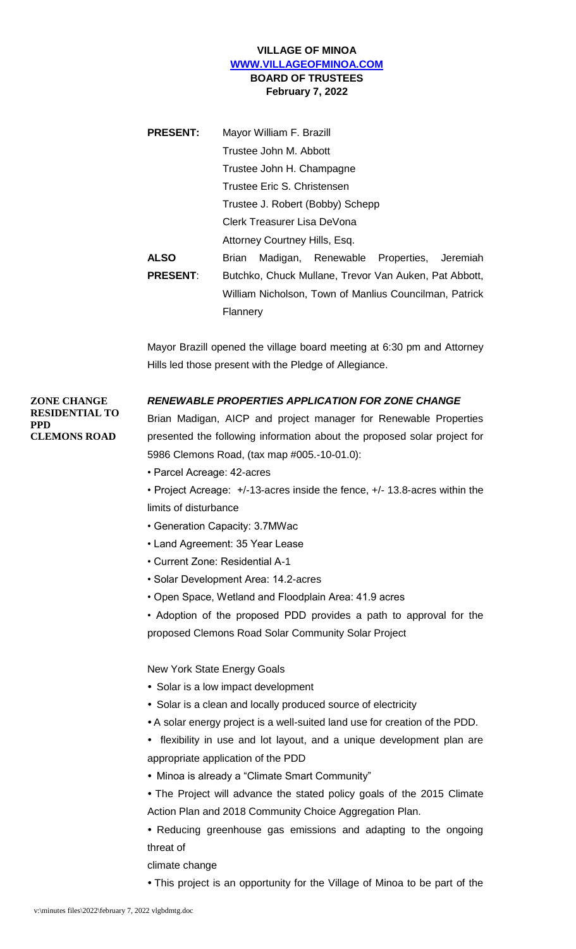## **VILLAGE OF MINOA [WWW.VILLAGEOFMINOA.COM](http://www.villageofminoa.com/) BOARD OF TRUSTEES February 7, 2022**

| <b>PRESENT:</b> | Mayor William F. Brazill<br>Trustee John M. Abbott     |  |  |
|-----------------|--------------------------------------------------------|--|--|
|                 |                                                        |  |  |
|                 | Trustee John H. Champagne                              |  |  |
|                 | Trustee Eric S. Christensen                            |  |  |
|                 | Trustee J. Robert (Bobby) Schepp                       |  |  |
|                 | Clerk Treasurer Lisa DeVona                            |  |  |
|                 | Attorney Courtney Hills, Esq.                          |  |  |
| <b>ALSO</b>     | Madigan, Renewable Properties, Jeremiah<br>Brian       |  |  |
| <b>PRESENT:</b> | Butchko, Chuck Mullane, Trevor Van Auken, Pat Abbott,  |  |  |
|                 | William Nicholson, Town of Manlius Councilman, Patrick |  |  |
|                 | Flannery                                               |  |  |

Mayor Brazill opened the village board meeting at 6:30 pm and Attorney Hills led those present with the Pledge of Allegiance.

### *RENEWABLE PROPERTIES APPLICATION FOR ZONE CHANGE*

**ZONE CHANGE RESIDENTIAL TO PPD CLEMONS ROAD**

Brian Madigan, AICP and project manager for Renewable Properties presented the following information about the proposed solar project for 5986 Clemons Road, (tax map #005.-10-01.0):

- Parcel Acreage: 42-acres
- Project Acreage: +/-13-acres inside the fence, +/- 13.8-acres within the limits of disturbance
- Generation Capacity: 3.7MWac
- Land Agreement: 35 Year Lease
- Current Zone: Residential A-1
- Solar Development Area: 14.2-acres
- Open Space, Wetland and Floodplain Area: 41.9 acres

• Adoption of the proposed PDD provides a path to approval for the proposed Clemons Road Solar Community Solar Project

#### New York State Energy Goals

- Solar is a low impact development
- Solar is a clean and locally produced source of electricity
- A solar energy project is a well-suited land use for creation of the PDD.
- flexibility in use and lot layout, and a unique development plan are appropriate application of the PDD
- Minoa is already a "Climate Smart Community"
- The Project will advance the stated policy goals of the 2015 Climate Action Plan and 2018 Community Choice Aggregation Plan.
- Reducing greenhouse gas emissions and adapting to the ongoing threat of

climate change

*•* This project is an opportunity for the Village of Minoa to be part of the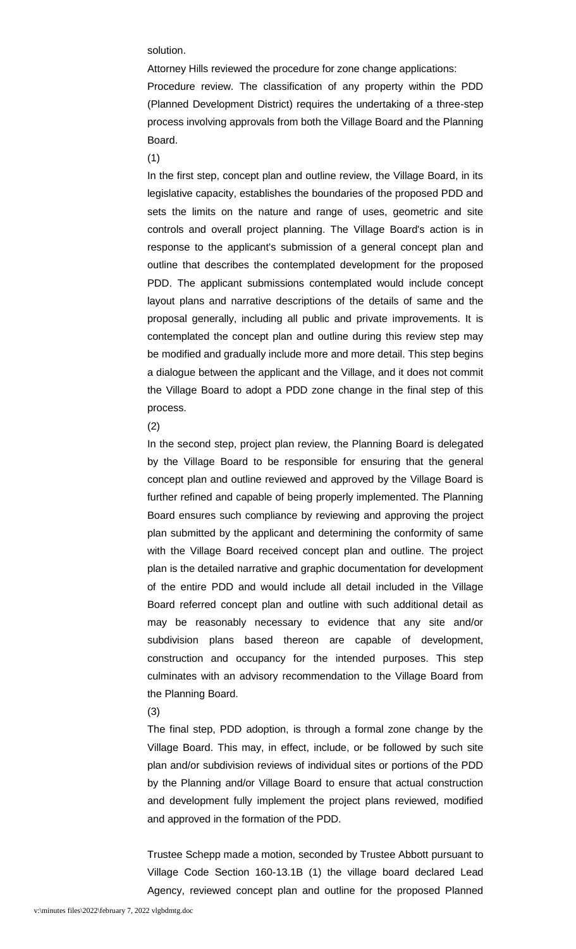solution.

Attorney Hills reviewed the procedure for zone change applications: Procedure review. The classification of any property within the PDD (Planned Development District) requires the undertaking of a three-step process involving approvals from both the Village Board and the Planning Board.

(1)

In the first step, concept plan and outline review, the Village Board, in its legislative capacity, establishes the boundaries of the proposed PDD and sets the limits on the nature and range of uses, geometric and site controls and overall project planning. The Village Board's action is in response to the applicant's submission of a general concept plan and outline that describes the contemplated development for the proposed PDD. The applicant submissions contemplated would include concept layout plans and narrative descriptions of the details of same and the proposal generally, including all public and private improvements. It is contemplated the concept plan and outline during this review step may be modified and gradually include more and more detail. This step begins a dialogue between the applicant and the Village, and it does not commit the Village Board to adopt a PDD zone change in the final step of this process.

#### (2)

In the second step, project plan review, the Planning Board is delegated by the Village Board to be responsible for ensuring that the general concept plan and outline reviewed and approved by the Village Board is further refined and capable of being properly implemented. The Planning Board ensures such compliance by reviewing and approving the project plan submitted by the applicant and determining the conformity of same with the Village Board received concept plan and outline. The project plan is the detailed narrative and graphic documentation for development of the entire PDD and would include all detail included in the Village Board referred concept plan and outline with such additional detail as may be reasonably necessary to evidence that any site and/or subdivision plans based thereon are capable of development, construction and occupancy for the intended purposes. This step culminates with an advisory recommendation to the Village Board from the Planning Board.

#### (3)

The final step, PDD adoption, is through a formal zone change by the Village Board. This may, in effect, include, or be followed by such site plan and/or subdivision reviews of individual sites or portions of the PDD by the Planning and/or Village Board to ensure that actual construction and development fully implement the project plans reviewed, modified and approved in the formation of the PDD.

Trustee Schepp made a motion, seconded by Trustee Abbott pursuant to Village Code Section 160-13.1B (1) the village board declared Lead Agency, reviewed concept plan and outline for the proposed Planned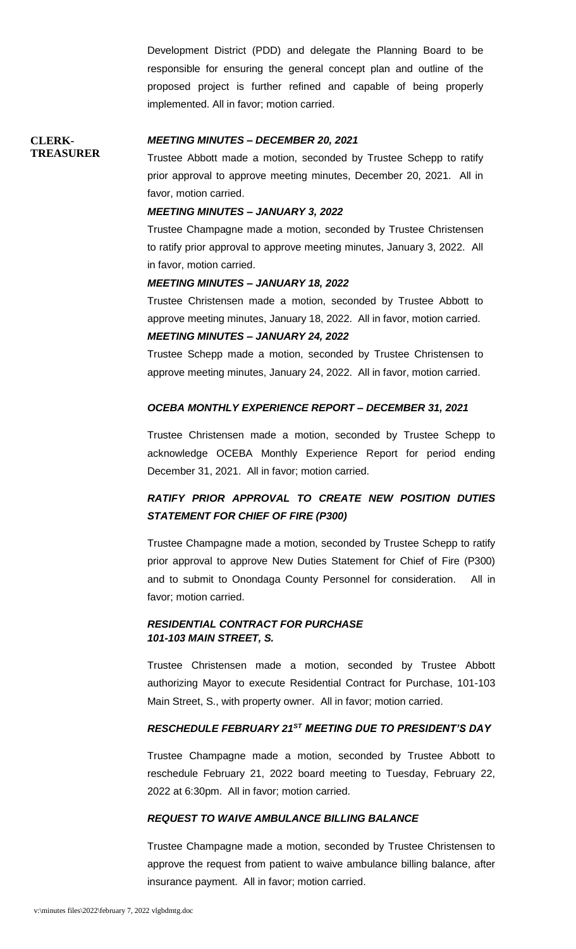Development District (PDD) and delegate the Planning Board to be responsible for ensuring the general concept plan and outline of the proposed project is further refined and capable of being properly implemented. All in favor; motion carried.

#### *MEETING MINUTES – DECEMBER 20, 2021*

**TREASURER**

**CLERK-**

Trustee Abbott made a motion, seconded by Trustee Schepp to ratify prior approval to approve meeting minutes, December 20, 2021. All in favor, motion carried.

#### *MEETING MINUTES – JANUARY 3, 2022*

Trustee Champagne made a motion, seconded by Trustee Christensen to ratify prior approval to approve meeting minutes, January 3, 2022. All in favor, motion carried.

#### *MEETING MINUTES – JANUARY 18, 2022*

Trustee Christensen made a motion, seconded by Trustee Abbott to approve meeting minutes, January 18, 2022. All in favor, motion carried. *MEETING MINUTES – JANUARY 24, 2022*

Trustee Schepp made a motion, seconded by Trustee Christensen to approve meeting minutes, January 24, 2022. All in favor, motion carried.

#### *OCEBA MONTHLY EXPERIENCE REPORT – DECEMBER 31, 2021*

Trustee Christensen made a motion, seconded by Trustee Schepp to acknowledge OCEBA Monthly Experience Report for period ending December 31, 2021. All in favor; motion carried.

# *RATIFY PRIOR APPROVAL TO CREATE NEW POSITION DUTIES STATEMENT FOR CHIEF OF FIRE (P300)*

Trustee Champagne made a motion, seconded by Trustee Schepp to ratify prior approval to approve New Duties Statement for Chief of Fire (P300) and to submit to Onondaga County Personnel for consideration. All in favor; motion carried.

## *RESIDENTIAL CONTRACT FOR PURCHASE 101-103 MAIN STREET, S.*

Trustee Christensen made a motion, seconded by Trustee Abbott authorizing Mayor to execute Residential Contract for Purchase, 101-103 Main Street, S., with property owner. All in favor; motion carried.

#### *RESCHEDULE FEBRUARY 21ST MEETING DUE TO PRESIDENT'S DAY*

Trustee Champagne made a motion, seconded by Trustee Abbott to reschedule February 21, 2022 board meeting to Tuesday, February 22, 2022 at 6:30pm. All in favor; motion carried.

#### *REQUEST TO WAIVE AMBULANCE BILLING BALANCE*

Trustee Champagne made a motion, seconded by Trustee Christensen to approve the request from patient to waive ambulance billing balance, after insurance payment. All in favor; motion carried.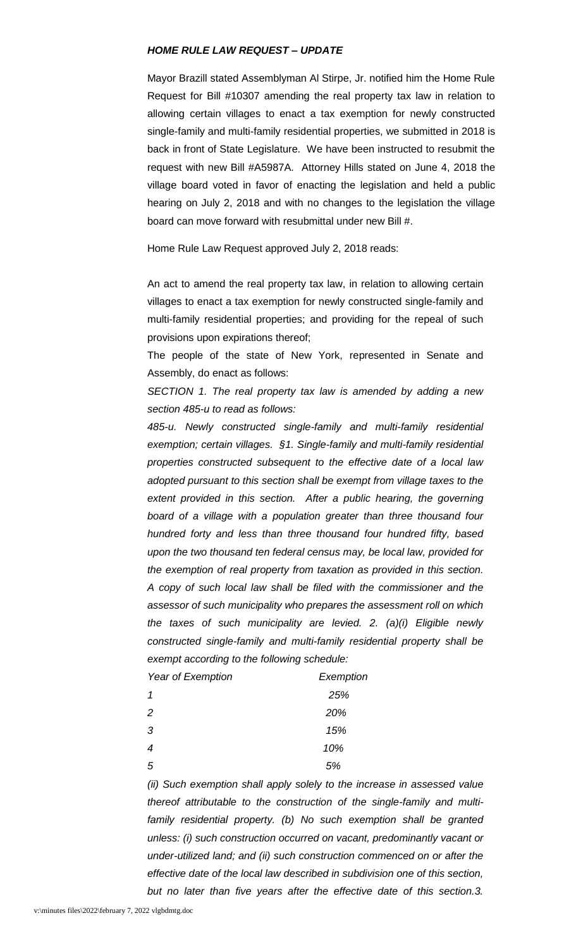#### *HOME RULE LAW REQUEST – UPDATE*

Mayor Brazill stated Assemblyman Al Stirpe, Jr. notified him the Home Rule Request for Bill #10307 amending the real property tax law in relation to allowing certain villages to enact a tax exemption for newly constructed single-family and multi-family residential properties, we submitted in 2018 is back in front of State Legislature. We have been instructed to resubmit the request with new Bill #A5987A. Attorney Hills stated on June 4, 2018 the village board voted in favor of enacting the legislation and held a public hearing on July 2, 2018 and with no changes to the legislation the village board can move forward with resubmittal under new Bill #.

Home Rule Law Request approved July 2, 2018 reads:

An act to amend the real property tax law, in relation to allowing certain villages to enact a tax exemption for newly constructed single-family and multi-family residential properties; and providing for the repeal of such provisions upon expirations thereof;

The people of the state of New York, represented in Senate and Assembly, do enact as follows:

*SECTION 1. The real property tax law is amended by adding a new section 485-u to read as follows:*

*485-u. Newly constructed single-family and multi-family residential exemption; certain villages. §1. Single-family and multi-family residential properties constructed subsequent to the effective date of a local law adopted pursuant to this section shall be exempt from village taxes to the*  extent provided in this section. After a public hearing, the governing *board of a village with a population greater than three thousand four hundred forty and less than three thousand four hundred fifty, based upon the two thousand ten federal census may, be local law, provided for the exemption of real property from taxation as provided in this section. A copy of such local law shall be filed with the commissioner and the assessor of such municipality who prepares the assessment roll on which the taxes of such municipality are levied. 2. (a)(i) Eligible newly constructed single-family and multi-family residential property shall be exempt according to the following schedule:* 

| Year of Exemption | Exemption |
|-------------------|-----------|
| 1                 | 25%       |
| 2                 | 20%       |
| 3                 | 15%       |
| 4                 | 10%       |
| 5                 | 5%        |

*(ii) Such exemption shall apply solely to the increase in assessed value thereof attributable to the construction of the single-family and multifamily residential property. (b) No such exemption shall be granted unless: (i) such construction occurred on vacant, predominantly vacant or under-utilized land; and (ii) such construction commenced on or after the effective date of the local law described in subdivision one of this section, but no later than five years after the effective date of this section.3.*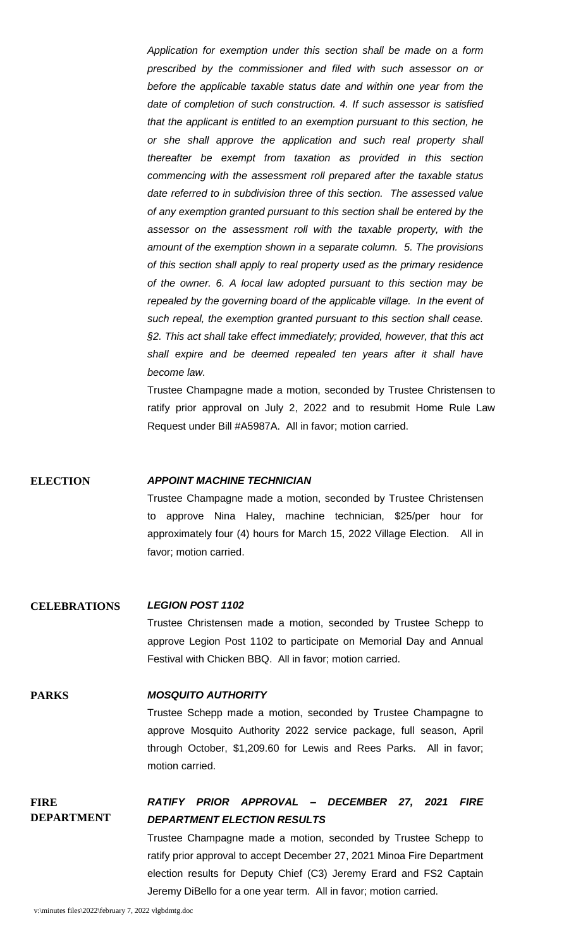*Application for exemption under this section shall be made on a form prescribed by the commissioner and filed with such assessor on or before the applicable taxable status date and within one year from the date of completion of such construction. 4. If such assessor is satisfied that the applicant is entitled to an exemption pursuant to this section, he or she shall approve the application and such real property shall thereafter be exempt from taxation as provided in this section commencing with the assessment roll prepared after the taxable status date referred to in subdivision three of this section. The assessed value of any exemption granted pursuant to this section shall be entered by the assessor on the assessment roll with the taxable property, with the amount of the exemption shown in a separate column. 5. The provisions of this section shall apply to real property used as the primary residence of the owner. 6. A local law adopted pursuant to this section may be*  repealed by the governing board of the applicable village. In the event of *such repeal, the exemption granted pursuant to this section shall cease. §2. This act shall take effect immediately; provided, however, that this act shall expire and be deemed repealed ten years after it shall have become law.*

Trustee Champagne made a motion, seconded by Trustee Christensen to ratify prior approval on July 2, 2022 and to resubmit Home Rule Law Request under Bill #A5987A. All in favor; motion carried.

**ELECTION** *APPOINT MACHINE TECHNICIAN*

Trustee Champagne made a motion, seconded by Trustee Christensen to approve Nina Haley, machine technician, \$25/per hour for approximately four (4) hours for March 15, 2022 Village Election. All in favor; motion carried.

#### **CELEBRATIONS** *LEGION POST 1102*

Trustee Christensen made a motion, seconded by Trustee Schepp to approve Legion Post 1102 to participate on Memorial Day and Annual Festival with Chicken BBQ. All in favor; motion carried.

#### **PARKS** *MOSQUITO AUTHORITY*

Trustee Schepp made a motion, seconded by Trustee Champagne to approve Mosquito Authority 2022 service package, full season, April through October, \$1,209.60 for Lewis and Rees Parks. All in favor; motion carried.

#### **FIRE DEPARTMENT** *RATIFY PRIOR APPROVAL – DECEMBER 27, 2021 FIRE DEPARTMENT ELECTION RESULTS*

Trustee Champagne made a motion, seconded by Trustee Schepp to ratify prior approval to accept December 27, 2021 Minoa Fire Department election results for Deputy Chief (C3) Jeremy Erard and FS2 Captain Jeremy DiBello for a one year term. All in favor; motion carried.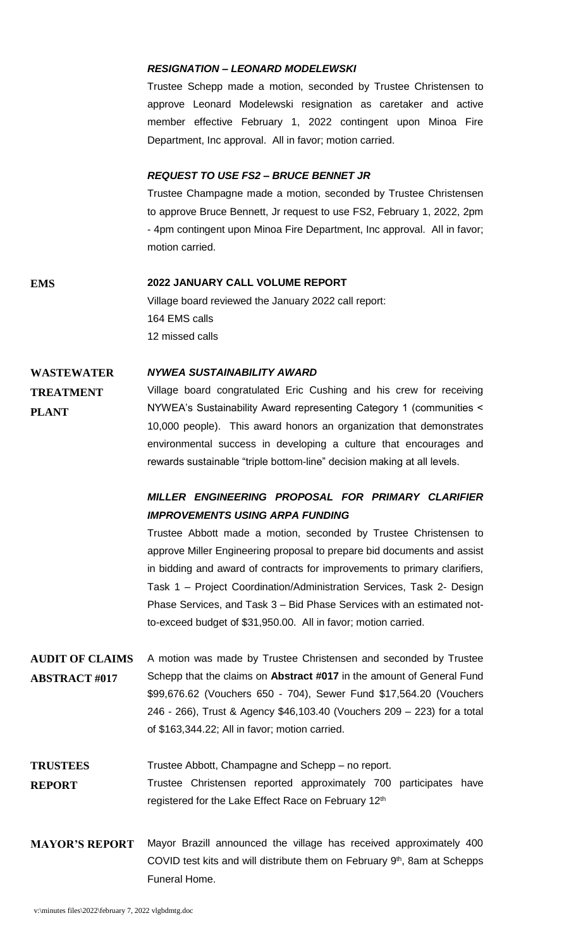#### *RESIGNATION – LEONARD MODELEWSKI*

Trustee Schepp made a motion, seconded by Trustee Christensen to approve Leonard Modelewski resignation as caretaker and active member effective February 1, 2022 contingent upon Minoa Fire Department, Inc approval. All in favor; motion carried.

#### *REQUEST TO USE FS2 – BRUCE BENNET JR*

Trustee Champagne made a motion, seconded by Trustee Christensen to approve Bruce Bennett, Jr request to use FS2, February 1, 2022, 2pm - 4pm contingent upon Minoa Fire Department, Inc approval. All in favor; motion carried.

#### **EMS 2022 JANUARY CALL VOLUME REPORT**

Village board reviewed the January 2022 call report: 164 EMS calls 12 missed calls

#### **WASTEWATER**  *NYWEA SUSTAINABILITY AWARD*

Village board congratulated Eric Cushing and his crew for receiving NYWEA's Sustainability Award representing Category 1 (communities < 10,000 people). This award honors an organization that demonstrates environmental success in developing a culture that encourages and rewards sustainable "triple bottom-line" decision making at all levels.

# *MILLER ENGINEERING PROPOSAL FOR PRIMARY CLARIFIER IMPROVEMENTS USING ARPA FUNDING*

Trustee Abbott made a motion, seconded by Trustee Christensen to approve Miller Engineering proposal to prepare bid documents and assist in bidding and award of contracts for improvements to primary clarifiers, Task 1 – Project Coordination/Administration Services, Task 2- Design Phase Services, and Task 3 – Bid Phase Services with an estimated notto-exceed budget of \$31,950.00. All in favor; motion carried.

**AUDIT OF CLAIMS ABSTRACT #017** A motion was made by Trustee Christensen and seconded by Trustee Schepp that the claims on **Abstract #017** in the amount of General Fund \$99,676.62 (Vouchers 650 - 704), Sewer Fund \$17,564.20 (Vouchers 246 - 266), Trust & Agency \$46,103.40 (Vouchers 209 – 223) for a total of \$163,344.22; All in favor; motion carried.

**TRUSTEES**  Trustee Abbott, Champagne and Schepp – no report.

- **REPORT** Trustee Christensen reported approximately 700 participates have registered for the Lake Effect Race on February 12<sup>th</sup>
- **MAYOR'S REPORT** Mayor Brazill announced the village has received approximately 400 COVID test kits and will distribute them on February 9<sup>th</sup>, 8am at Schepps Funeral Home.

**TREATMENT**

**PLANT**